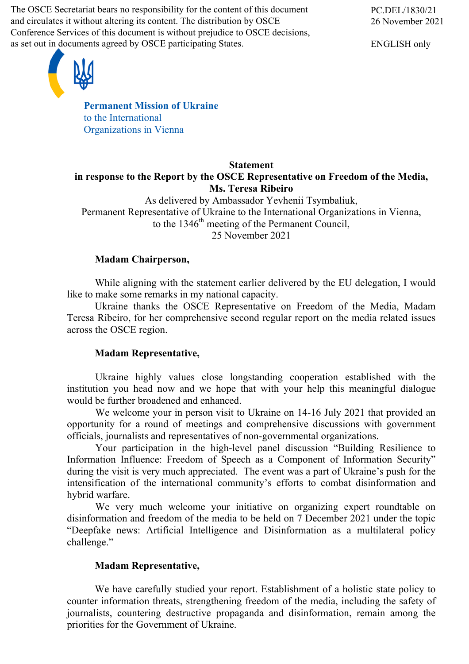The OSCE Secretariat bears no responsibility for the content of this document and circulates it without altering its content. The distribution by OSCE Conference Services of this document is without prejudice to OSCE decisions, as set out in documents agreed by OSCE participating States.



ENGLISH only



**Permanent Mission of Ukraine** to the International Organizations in Vienna

### **Statement in response to the Report by the OSCE Representative on Freedom of the Media, Ms. Teresa Ribeiro**

As delivered by Ambassador Yevhenii Tsymbaliuk, Permanent Representative of Ukraine to the International Organizations in Vienna, to the  $1346<sup>th</sup>$  meeting of the Permanent Council, 25 November 2021

# **Madam Chairperson,**

While aligning with the statement earlier delivered by the EU delegation, I would like to make some remarks in my national capacity.

Ukraine thanks the OSCE Representative on Freedom of the Media, Madam Teresa Ribeiro, for her comprehensive second regular report on the media related issues across the OSCE region.

## **Madam Representative,**

Ukraine highly values close longstanding cooperation established with the institution you head now and we hope that with your help this meaningful dialogue would be further broadened and enhanced.

We welcome your in person visit to Ukraine on 14-16 July 2021 that provided an opportunity for a round of meetings and comprehensive discussions with government officials, journalists and representatives of non-governmental organizations.

Your participation in the high-level panel discussion "Building Resilience to Information Influence: Freedom of Speech as a Component of Information Security" during the visit is very much appreciated. The event was a part of Ukraine's push for the intensification of the international community's efforts to combat disinformation and hybrid warfare.

We very much welcome your initiative on organizing expert roundtable on disinformation and freedom of the media to be held on 7 December 2021 under the topic "Deepfake news: Artificial Intelligence and Disinformation as a multilateral policy challenge."

## **Madam Representative,**

We have carefully studied your report. Establishment of a holistic state policy to counter information threats, strengthening freedom of the media, including the safety of journalists, countering destructive propaganda and disinformation, remain among the priorities for the Government of Ukraine.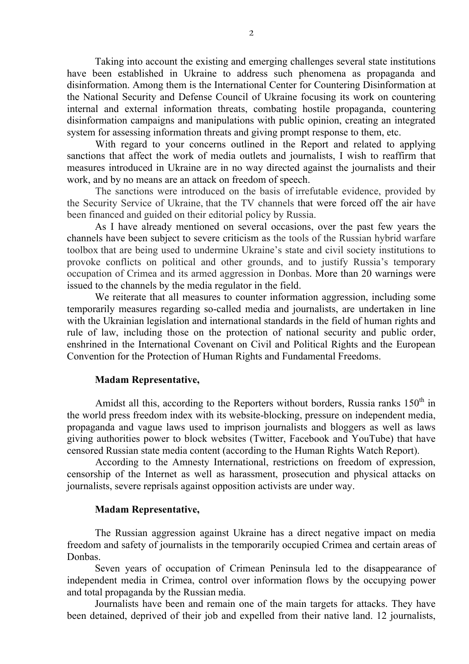Taking into account the existing and emerging challenges several state institutions have been established in Ukraine to address such phenomena as propaganda and disinformation. Among them is the International Center for Countering Disinformation at the National Security and Defense Council of Ukraine focusing its work on countering internal and external information threats, combating hostile propaganda, countering disinformation campaigns and manipulations with public opinion, creating an integrated system for assessing information threats and giving prompt response to them, etc.

With regard to your concerns outlined in the Report and related to applying sanctions that affect the work of media outlets and journalists, I wish to reaffirm that measures introduced in Ukraine are in no way directed against the journalists and their work, and by no means are an attack on freedom of speech.

The sanctions were introduced on the basis of irrefutable evidence, provided by the Security Service of Ukraine, that the TV channels that were forced off the air have been financed and guided on their editorial policy by Russia.

As I have already mentioned on several occasions, over the past few years the channels have been subject to severe criticism as the tools of the Russian hybrid warfare toolbox that are being used to undermine Ukraine's state and civil society institutions to provoke conflicts on political and other grounds, and to justify Russia's temporary occupation of Crimea and its armed aggression in Donbas. More than 20 warnings were issued to the channels by the media regulator in the field.

We reiterate that all measures to counter information aggression, including some temporarily measures regarding so-called media and journalists, are undertaken in line with the Ukrainian legislation and international standards in the field of human rights and rule of law, including those on the protection of national security and public order, enshrined in the International Covenant on Civil and Political Rights and the European Convention for the Protection of Human Rights and Fundamental Freedoms.

### **Madam Representative,**

Amidst all this, according to the Reporters without borders, Russia ranks  $150<sup>th</sup>$  in the world press freedom index with its website-blocking, pressure on independent media, propaganda and vague laws used to imprison journalists and bloggers as well as laws giving authorities power to block websites (Twitter, Facebook and YouTube) that have censored Russian state media content (according to the Human Rights Watch Report).

According to the Amnesty International, restrictions on freedom of expression, censorship of the Internet as well as harassment, prosecution and physical attacks on journalists, severe reprisals against opposition activists are under way.

#### **Madam Representative,**

The Russian aggression against Ukraine has a direct negative impact on media freedom and safety of journalists in the temporarily occupied Crimea and certain areas of Donbas.

Seven years of occupation of Crimean Peninsula led to the disappearance of independent media in Crimea, control over information flows by the occupying power and total propaganda by the Russian media.

Journalists have been and remain one of the main targets for attacks. They have been detained, deprived of their job and expelled from their native land. 12 journalists,